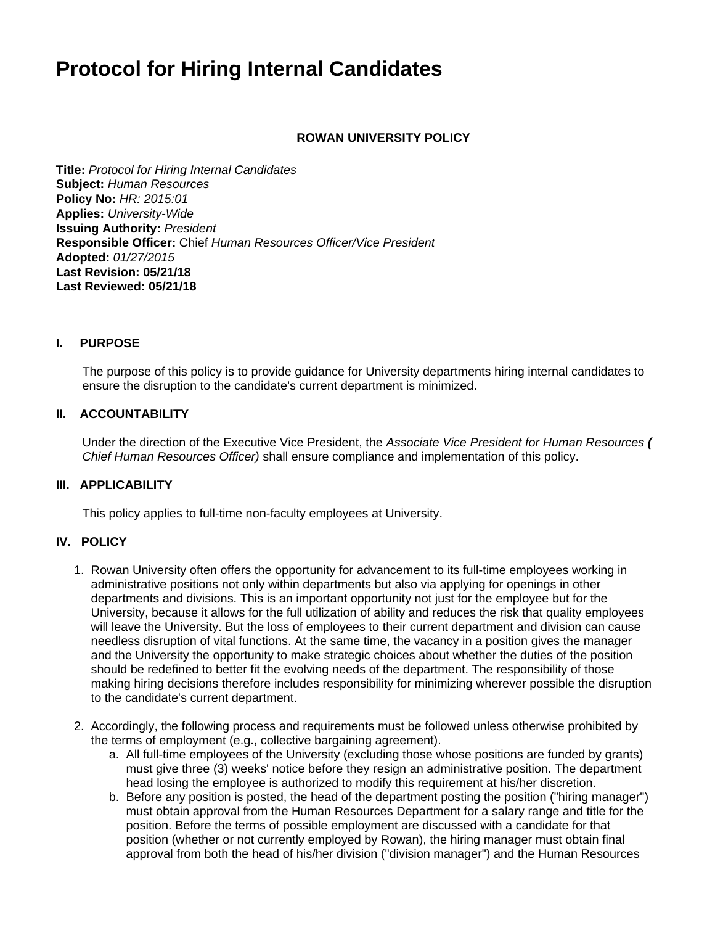# **Protocol for Hiring Internal Candidates**

### **ROWAN UNIVERSITY POLICY**

**Title:** Protocol for Hiring Internal Candidates **Subject:** Human Resources **Policy No:** HR: 2015:01 **Applies:** University-Wide **Issuing Authority:** President **Responsible Officer:** Chief Human Resources Officer/Vice President **Adopted:** 01/27/2015 **Last Revision: 05/21/18 Last Reviewed: 05/21/18**

#### **I. PURPOSE**

The purpose of this policy is to provide guidance for University departments hiring internal candidates to ensure the disruption to the candidate's current department is minimized.

#### **II. ACCOUNTABILITY**

Under the direction of the Executive Vice President, the Associate Vice President for Human Resources **(** Chief Human Resources Officer) shall ensure compliance and implementation of this policy.

#### **III. APPLICABILITY**

This policy applies to full-time non-faculty employees at University.

## **IV. POLICY**

- 1. Rowan University often offers the opportunity for advancement to its full-time employees working in administrative positions not only within departments but also via applying for openings in other departments and divisions. This is an important opportunity not just for the employee but for the University, because it allows for the full utilization of ability and reduces the risk that quality employees will leave the University. But the loss of employees to their current department and division can cause needless disruption of vital functions. At the same time, the vacancy in a position gives the manager and the University the opportunity to make strategic choices about whether the duties of the position should be redefined to better fit the evolving needs of the department. The responsibility of those making hiring decisions therefore includes responsibility for minimizing wherever possible the disruption to the candidate's current department.
- 2. Accordingly, the following process and requirements must be followed unless otherwise prohibited by the terms of employment (e.g., collective bargaining agreement).
	- a. All full-time employees of the University (excluding those whose positions are funded by grants) must give three (3) weeks' notice before they resign an administrative position. The department head losing the employee is authorized to modify this requirement at his/her discretion.
	- b. Before any position is posted, the head of the department posting the position ("hiring manager") must obtain approval from the Human Resources Department for a salary range and title for the position. Before the terms of possible employment are discussed with a candidate for that position (whether or not currently employed by Rowan), the hiring manager must obtain final approval from both the head of his/her division ("division manager") and the Human Resources